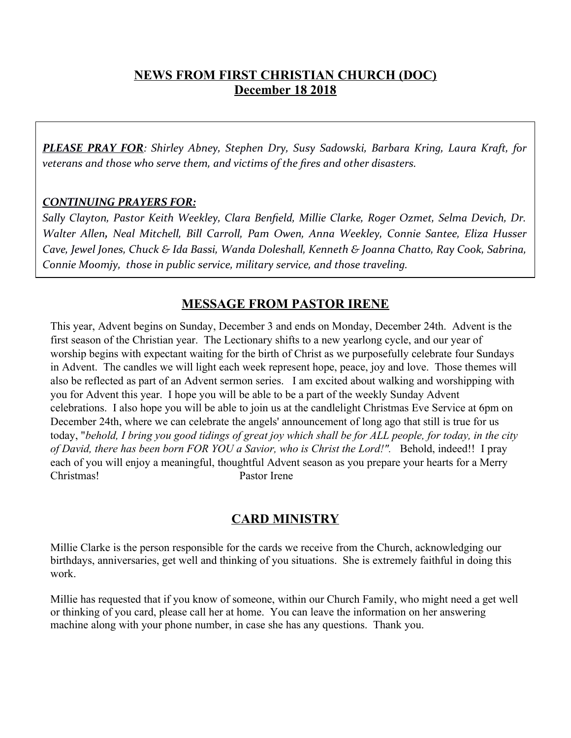## **NEWS FROM FIRST CHRISTIAN CHURCH (DOC) December 18 2018**

*PLEASE PRAY FOR: Shirley Abney, Stephen Dry, Susy Sadowski, Barbara Kring, Laura Kraft, for veterans and those who serve them, and victims of the fres and other disasters.*

#### *CONTINUING PRAYERS FOR:*

*Sally Clayton, Pastor Keith Weekley, Clara Benfeld, Millie Clarke, Roger Ozmet, Selma Devich, Dr. Walter Allen, Neal Mitchell, Bill Carroll, Pam Owen, Anna Weekley, Connie Santee, Eliza Husser Cave, Jewel Jones, Chuck & Ida Bassi, Wanda Doleshall, Kenneth & Joanna Chatto, Ray Cook, Sabrina, Connie Moomjy, those in public service, military service, and those traveling.*

# **MESSAGE FROM PASTOR IRENE**

This year, Advent begins on Sunday, December 3 and ends on Monday, December 24th. Advent is the first season of the Christian year. The Lectionary shifts to a new yearlong cycle, and our year of worship begins with expectant waiting for the birth of Christ as we purposefully celebrate four Sundays in Advent. The candles we will light each week represent hope, peace, joy and love. Those themes will also be reflected as part of an Advent sermon series. I am excited about walking and worshipping with you for Advent this year. I hope you will be able to be a part of the weekly Sunday Advent celebrations. I also hope you will be able to join us at the candlelight Christmas Eve Service at 6pm on December 24th, where we can celebrate the angels' announcement of long ago that still is true for us today, "*behold, I bring you good tidings of great joy which shall be for ALL people, for today, in the city of David, there has been born FOR YOU a Savior, who is Christ the Lord!".* Behold, indeed!! I pray each of you will enjoy a meaningful, thoughtful Advent season as you prepare your hearts for a Merry Christmas! Pastor Irene

# **CARD MINISTRY**

Millie Clarke is the person responsible for the cards we receive from the Church, acknowledging our birthdays, anniversaries, get well and thinking of you situations. She is extremely faithful in doing this work.

Millie has requested that if you know of someone, within our Church Family, who might need a get well or thinking of you card, please call her at home. You can leave the information on her answering machine along with your phone number, in case she has any questions. Thank you.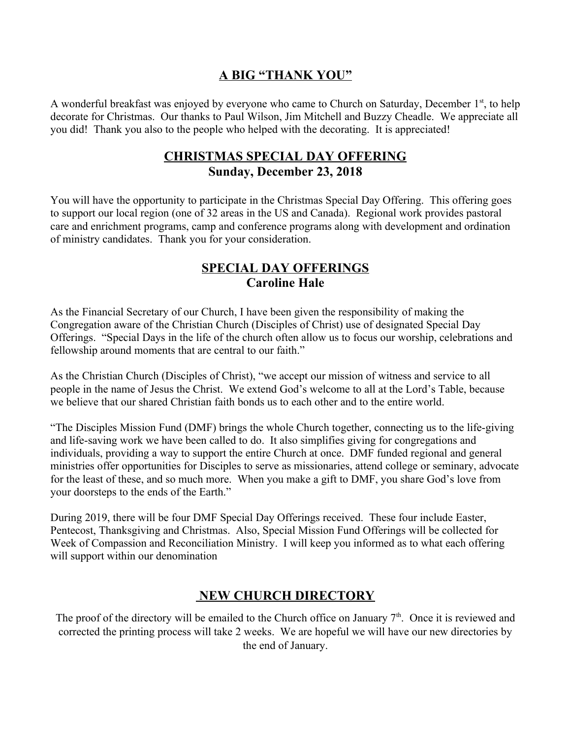## **A BIG "THANK YOU"**

A wonderful breakfast was enjoyed by everyone who came to Church on Saturday, December 1<sup>st</sup>, to help decorate for Christmas. Our thanks to Paul Wilson, Jim Mitchell and Buzzy Cheadle. We appreciate all you did! Thank you also to the people who helped with the decorating. It is appreciated!

## **CHRISTMAS SPECIAL DAY OFFERING Sunday, December 23, 2018**

You will have the opportunity to participate in the Christmas Special Day Offering. This offering goes to support our local region (one of 32 areas in the US and Canada). Regional work provides pastoral care and enrichment programs, camp and conference programs along with development and ordination of ministry candidates. Thank you for your consideration.

## **SPECIAL DAY OFFERINGS Caroline Hale**

As the Financial Secretary of our Church, I have been given the responsibility of making the Congregation aware of the Christian Church (Disciples of Christ) use of designated Special Day Offerings. "Special Days in the life of the church often allow us to focus our worship, celebrations and fellowship around moments that are central to our faith."

As the Christian Church (Disciples of Christ), "we accept our mission of witness and service to all people in the name of Jesus the Christ. We extend God's welcome to all at the Lord's Table, because we believe that our shared Christian faith bonds us to each other and to the entire world.

"The Disciples Mission Fund (DMF) brings the whole Church together, connecting us to the life-giving and life-saving work we have been called to do. It also simplifies giving for congregations and individuals, providing a way to support the entire Church at once. DMF funded regional and general ministries offer opportunities for Disciples to serve as missionaries, attend college or seminary, advocate for the least of these, and so much more. When you make a gift to DMF, you share God's love from your doorsteps to the ends of the Earth."

During 2019, there will be four DMF Special Day Offerings received. These four include Easter, Pentecost, Thanksgiving and Christmas. Also, Special Mission Fund Offerings will be collected for Week of Compassion and Reconciliation Ministry. I will keep you informed as to what each offering will support within our denomination

# **NEW CHURCH DIRECTORY**

The proof of the directory will be emailed to the Church office on January  $7<sup>th</sup>$ . Once it is reviewed and corrected the printing process will take 2 weeks. We are hopeful we will have our new directories by the end of January.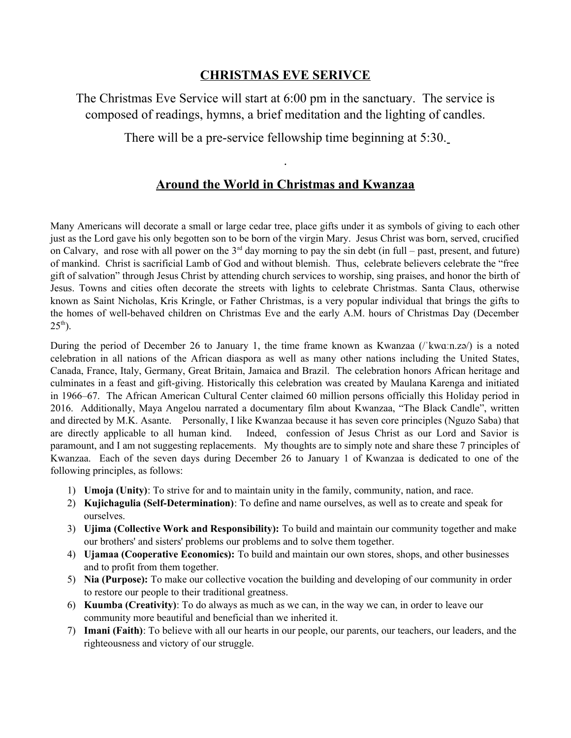## **CHRISTMAS EVE SERIVCE**

The Christmas Eve Service will start at 6:00 pm in the sanctuary. The service is composed of readings, hymns, a brief meditation and the lighting of candles.

There will be a pre-service fellowship time beginning at 5:30.

## **Around the World in Christmas and Kwanzaa**

.

Many Americans will decorate a small or large cedar tree, place gifts under it as symbols of giving to each other just as the Lord gave his only begotten son to be born of the virgin Mary. Jesus Christ was born, served, crucified on Calvary, and rose with all power on the  $3<sup>rd</sup>$  day morning to pay the sin debt (in full – past, present, and future) of mankind. Christ is sacrificial Lamb of God and without blemish. Thus, celebrate believers celebrate the "free gift of salvation" through Jesus Christ by attending church services to worship, sing praises, and honor the birth of Jesus. Towns and cities often decorate the streets with lights to celebrate Christmas. Santa Claus, otherwise known as Saint Nicholas, Kris Kringle, or Father Christmas, is a very popular individual that brings the gifts to the homes of well-behaved children on Christmas Eve and the early A.M. hours of Christmas Day (December  $25<sup>th</sup>$ ).

During the period of December 26 to January 1, the time frame known as Kwanzaa (/ˈkwɑːn.zə/) is a noted celebration in all nations of the African diaspora as well as many other nations including the United States, Canada, France, Italy, Germany, Great Britain, Jamaica and Brazil. The celebration honors African heritage and culminates in a feast and gift-giving. Historically this celebration was created by Maulana Karenga and initiated in 1966–67. The African American Cultural Center claimed 60 million persons officially this Holiday period in 2016. Additionally, Maya Angelou narrated a documentary film about Kwanzaa, "The Black Candle", written and directed by M.K. Asante. Personally, I like Kwanzaa because it has seven core principles (Nguzo Saba) that are directly applicable to all human kind. Indeed, confession of Jesus Christ as our Lord and Savior is paramount, and I am not suggesting replacements. My thoughts are to simply note and share these 7 principles of Kwanzaa. Each of the seven days during December 26 to January 1 of Kwanzaa is dedicated to one of the following principles, as follows:

- 1) **Umoja (Unity)**: To strive for and to maintain unity in the family, community, nation, and race.
- 2) **Kujichagulia (Self-Determination)**: To define and name ourselves, as well as to create and speak for ourselves.
- 3) **Ujima (Collective Work and Responsibility):** To build and maintain our community together and make our brothers' and sisters' problems our problems and to solve them together.
- 4) **Ujamaa (Cooperative Economics):** To build and maintain our own stores, shops, and other businesses and to profit from them together.
- 5) **Nia (Purpose):** To make our collective vocation the building and developing of our community in order to restore our people to their traditional greatness.
- 6) **Kuumba (Creativity)**: To do always as much as we can, in the way we can, in order to leave our community more beautiful and beneficial than we inherited it.
- 7) **Imani (Faith)**: To believe with all our hearts in our people, our parents, our teachers, our leaders, and the righteousness and victory of our struggle.